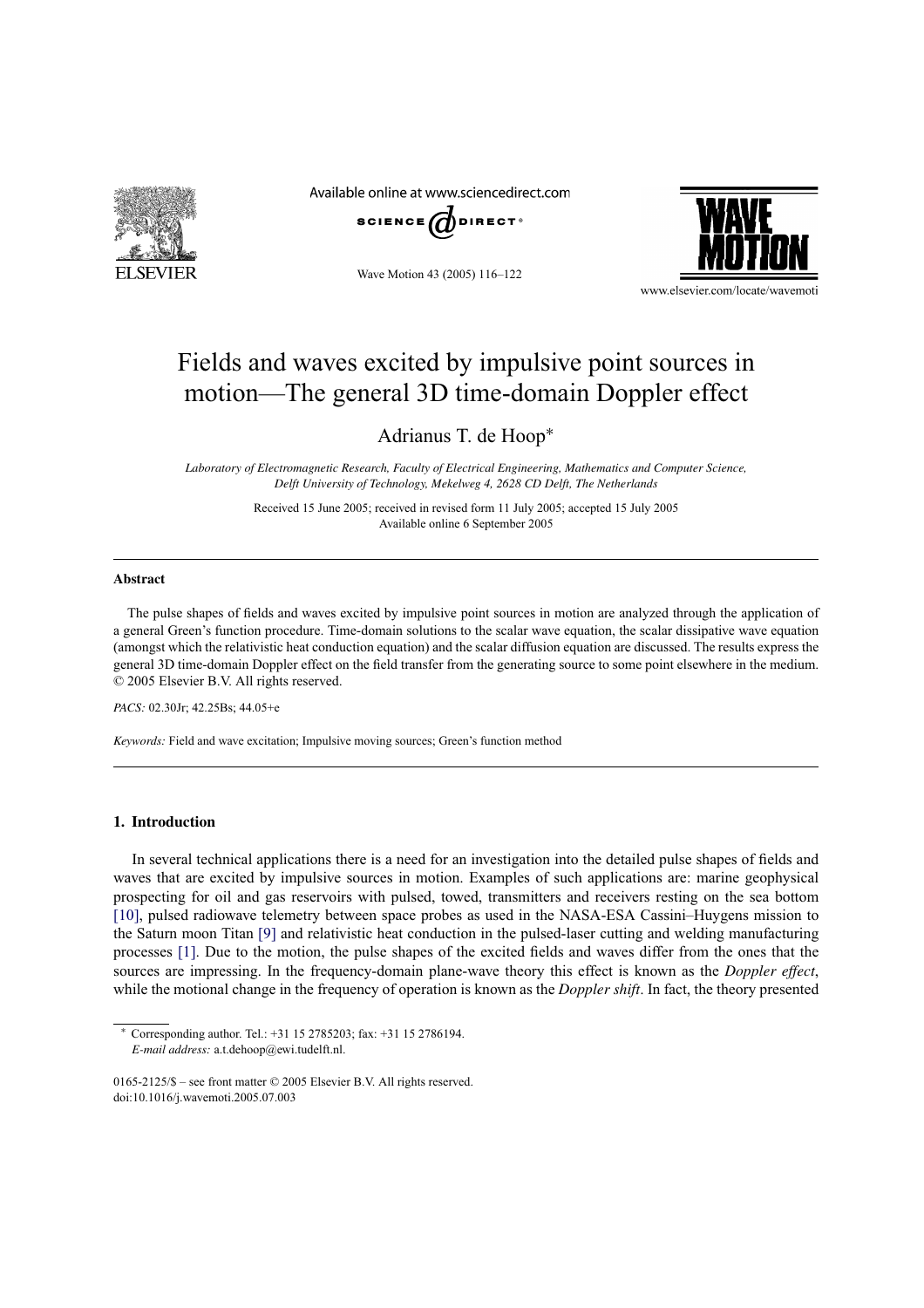

Available online at www.sciencedirect.com





Wave Motion 43 (2005) 116–122

www.elsevier.com/locate/wavemoti

# Fields and waves excited by impulsive point sources in motion—The general 3D time-domain Doppler effect

Adrianus T. de Hoop<sup>∗</sup>

*Laboratory of Electromagnetic Research, Faculty of Electrical Engineering, Mathematics and Computer Science, Delft University of Technology, Mekelweg 4, 2628 CD Delft, The Netherlands*

> Received 15 June 2005; received in revised form 11 July 2005; accepted 15 July 2005 Available online 6 September 2005

#### **Abstract**

The pulse shapes of fields and waves excited by impulsive point sources in motion are analyzed through the application of a general Green's function procedure. Time-domain solutions to the scalar wave equation, the scalar dissipative wave equation (amongst which the relativistic heat conduction equation) and the scalar diffusion equation are discussed. The results express the general 3D time-domain Doppler effect on the field transfer from the generating source to some point elsewhere in the medium. © 2005 Elsevier B.V. All rights reserved.

*PACS:* 02.30Jr; 42.25Bs; 44.05+e

*Keywords:* Field and wave excitation; Impulsive moving sources; Green's function method

## **1. Introduction**

In several technical applications there is a need for an investigation into the detailed pulse shapes of fields and waves that are excited by impulsive sources in motion. Examples of such applications are: marine geophysical prospecting for oil and gas reservoirs with pulsed, towed, transmitters and receivers resting on the sea bottom [10], pulsed radiowave telemetry between space probes as used in the NASA-ESA Cassini–Huygens mission to the Saturn moon Titan [9] and relativistic heat conduction in the pulsed-laser cutting and welding manufacturing processes [1]. Due to the motion, the pulse shapes of the excited fields and waves differ from the ones that the sources are impressing. In the frequency-domain plane-wave theory this effect is known as the *Doppler effect*, while the motional change in the frequency of operation is known as the *Doppler shift*. In fact, the theory presented

<sup>∗</sup> Corresponding author. Tel.: +31 15 2785203; fax: +31 15 2786194. *E-mail address:* a.t.dehoop@ewi.tudelft.nl.

<sup>0165-2125/\$ –</sup> see front matter © 2005 Elsevier B.V. All rights reserved. doi:10.1016/j.wavemoti.2005.07.003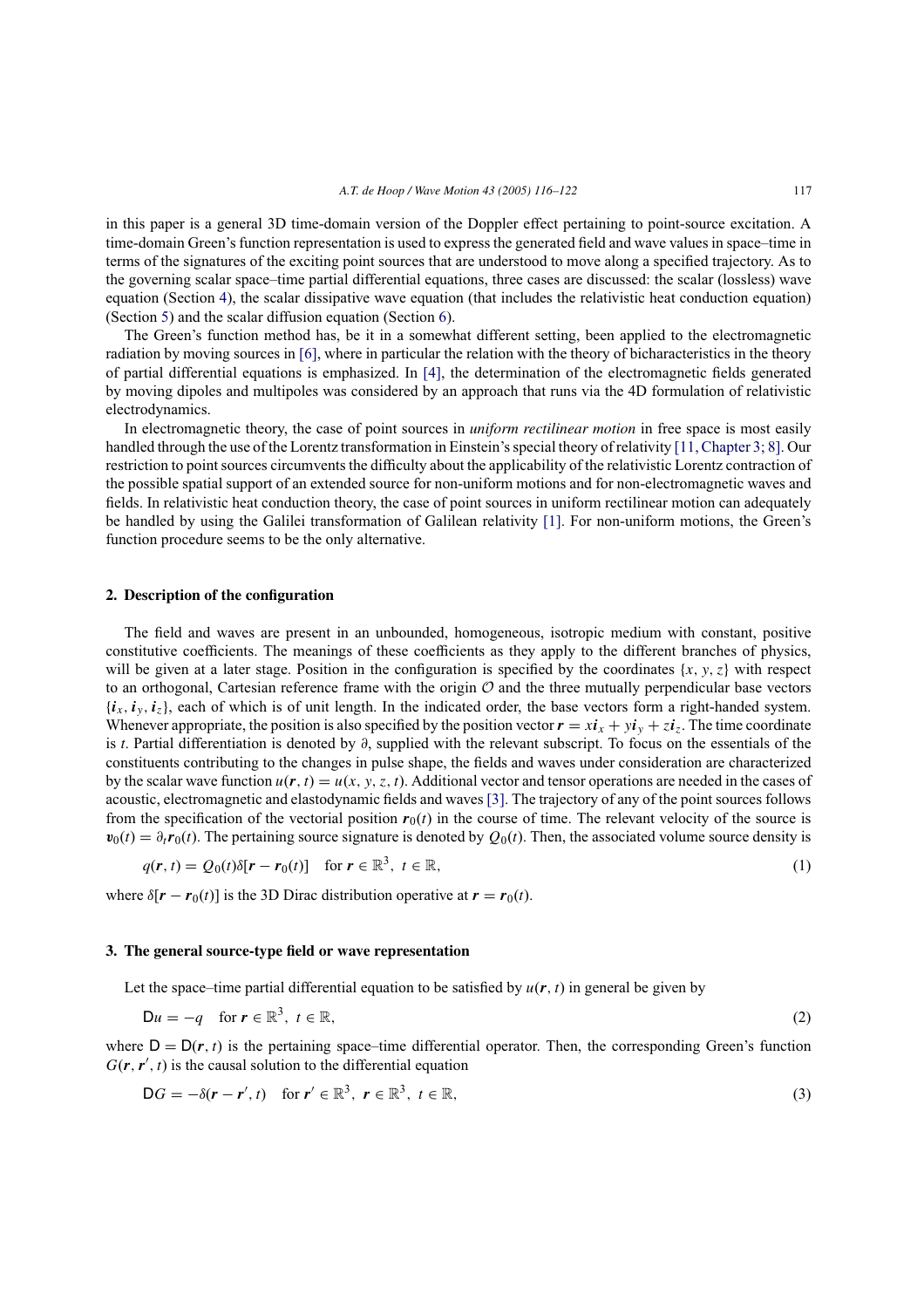in this paper is a general 3D time-domain version of the Doppler effect pertaining to point-source excitation. A time-domain Green's function representation is used to express the generated field and wave values in space–time in terms of the signatures of the exciting point sources that are understood to move along a specified trajectory. As to the governing scalar space–time partial differential equations, three cases are discussed: the scalar (lossless) wave equation (Section 4), the scalar dissipative wave equation (that includes the relativistic heat conduction equation) (Section 5) and the scalar diffusion equation (Section 6).

The Green's function method has, be it in a somewhat different setting, been applied to the electromagnetic radiation by moving sources in [6], where in particular the relation with the theory of bicharacteristics in the theory of partial differential equations is emphasized. In [4], the determination of the electromagnetic fields generated by moving dipoles and multipoles was considered by an approach that runs via the 4D formulation of relativistic electrodynamics.

In electromagnetic theory, the case of point sources in *uniform rectilinear motion* in free space is most easily handled through the use of the Lorentz transformation in Einstein's special theory of relativity [11, Chapter 3; 8]. Our restriction to point sources circumvents the difficulty about the applicability of the relativistic Lorentz contraction of the possible spatial support of an extended source for non-uniform motions and for non-electromagnetic waves and fields. In relativistic heat conduction theory, the case of point sources in uniform rectilinear motion can adequately be handled by using the Galilei transformation of Galilean relativity [1]. For non-uniform motions, the Green's function procedure seems to be the only alternative.

## **2. Description of the configuration**

The field and waves are present in an unbounded, homogeneous, isotropic medium with constant, positive constitutive coefficients. The meanings of these coefficients as they apply to the different branches of physics, will be given at a later stage. Position in the configuration is specified by the coordinates  $\{x, y, z\}$  with respect to an orthogonal, Cartesian reference frame with the origin  $\mathcal O$  and the three mutually perpendicular base vectors  ${i_x, i_y, i_z}$ , each of which is of unit length. In the indicated order, the base vectors form a right-handed system. Whenever appropriate, the position is also specified by the position vector  $\mathbf{r} = x\mathbf{i}_x + y\mathbf{i}_y + z\mathbf{i}_z$ . The time coordinate is *t*. Partial differentiation is denoted by ∂, supplied with the relevant subscript. To focus on the essentials of the constituents contributing to the changes in pulse shape, the fields and waves under consideration are characterized by the scalar wave function  $u(r, t) = u(x, y, z, t)$ . Additional vector and tensor operations are needed in the cases of acoustic, electromagnetic and elastodynamic fields and waves [3]. The trajectory of any of the point sources follows from the specification of the vectorial position  $r_0(t)$  in the course of time. The relevant velocity of the source is  $v_0(t) = \partial_t r_0(t)$ . The pertaining source signature is denoted by  $Q_0(t)$ . Then, the associated volume source density is

$$
q(\mathbf{r},t) = Q_0(t)\delta[\mathbf{r}-\mathbf{r}_0(t)] \quad \text{for } \mathbf{r} \in \mathbb{R}^3, \ t \in \mathbb{R},
$$
 (1)

where  $\delta[r - r_0(t)]$  is the 3D Dirac distribution operative at  $r = r_0(t)$ .

#### **3. The general source-type field or wave representation**

Let the space–time partial differential equation to be satisfied by  $u(\mathbf{r}, t)$  in general be given by

$$
\mathsf{D}u = -q \quad \text{for } \mathbf{r} \in \mathbb{R}^3, \ t \in \mathbb{R}, \tag{2}
$$

where  $D = D(r, t)$  is the pertaining space–time differential operator. Then, the corresponding Green's function  $G(\mathbf{r}, \mathbf{r}', t)$  is the causal solution to the differential equation

$$
\mathsf{D}G = -\delta(\mathbf{r} - \mathbf{r}', t) \quad \text{for } \mathbf{r}' \in \mathbb{R}^3, \ \mathbf{r} \in \mathbb{R}^3, \ t \in \mathbb{R}, \tag{3}
$$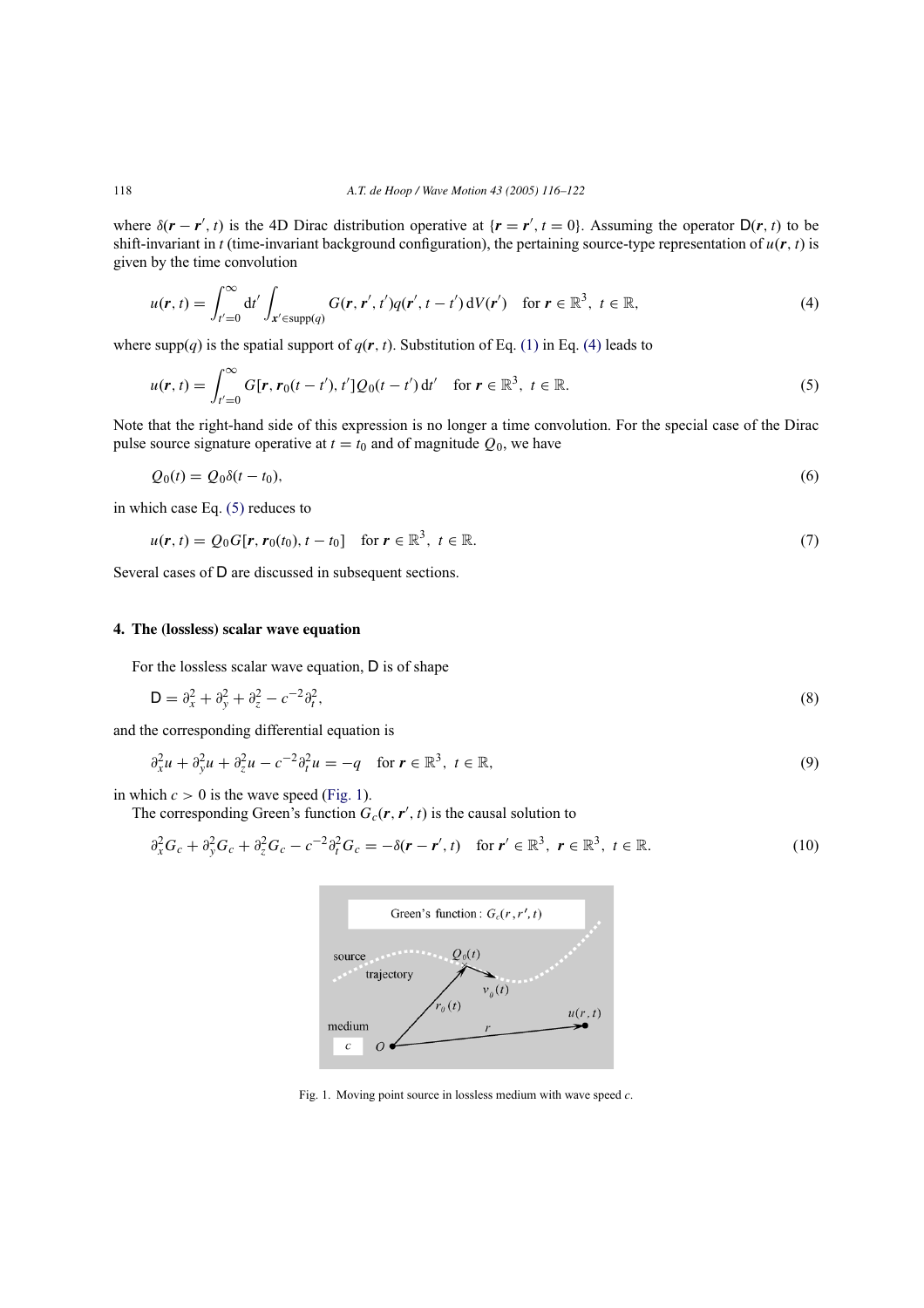where  $\delta(\mathbf{r} - \mathbf{r}', t)$  is the 4D Dirac distribution operative at  $\{\mathbf{r} = \mathbf{r}', t = 0\}$ . Assuming the operator  $D(\mathbf{r}, t)$  to be shift-invariant in *t* (time-invariant background configuration), the pertaining source-type representation of  $u(r, t)$  is given by the time convolution

$$
u(\mathbf{r},t) = \int_{t'=0}^{\infty} dt' \int_{\mathbf{x}' \in \text{supp}(q)} G(\mathbf{r},\mathbf{r}',t') q(\mathbf{r}',t-t') dV(\mathbf{r}') \quad \text{for } \mathbf{r} \in \mathbb{R}^3, \ t \in \mathbb{R},
$$
 (4)

where supp(q) is the spatial support of  $q(r, t)$ . Substitution of Eq. (1) in Eq. (4) leads to

$$
u(\mathbf{r},t) = \int_{t'=0}^{\infty} G[\mathbf{r}, \mathbf{r}_0(t-t'), t'] Q_0(t-t') dt' \quad \text{for } \mathbf{r} \in \mathbb{R}^3, \ t \in \mathbb{R}.
$$
 (5)

Note that the right-hand side of this expression is no longer a time convolution. For the special case of the Dirac pulse source signature operative at  $t = t_0$  and of magnitude  $Q_0$ , we have

$$
Q_0(t) = Q_0 \delta(t - t_0),\tag{6}
$$

in which case Eq. (5) reduces to

$$
u(\mathbf{r},t) = Q_0 G[\mathbf{r},\mathbf{r}_0(t_0),t-t_0] \quad \text{for } \mathbf{r} \in \mathbb{R}^3, \ t \in \mathbb{R}.
$$
 (7)

Several cases of D are discussed in subsequent sections.

# **4. The (lossless) scalar wave equation**

For the lossless scalar wave equation, D is of shape

$$
\mathsf{D} = \partial_x^2 + \partial_y^2 + \partial_z^2 - c^{-2}\partial_t^2,\tag{8}
$$

and the corresponding differential equation is

$$
\partial_x^2 u + \partial_y^2 u + \partial_z^2 u - c^{-2} \partial_t^2 u = -q \quad \text{for } r \in \mathbb{R}^3, \ t \in \mathbb{R},
$$
\n
$$
(9)
$$

in which  $c > 0$  is the wave speed (Fig. 1).

The corresponding Green's function  $G_c(\mathbf{r}, \mathbf{r}', t)$  is the causal solution to

$$
\partial_x^2 G_c + \partial_y^2 G_c + \partial_z^2 G_c - c^{-2} \partial_t^2 G_c = -\delta(\mathbf{r} - \mathbf{r}', t) \quad \text{for } \mathbf{r}' \in \mathbb{R}^3, \ \mathbf{r} \in \mathbb{R}^3, \ t \in \mathbb{R}.
$$



Fig. 1. Moving point source in lossless medium with wave speed *c*.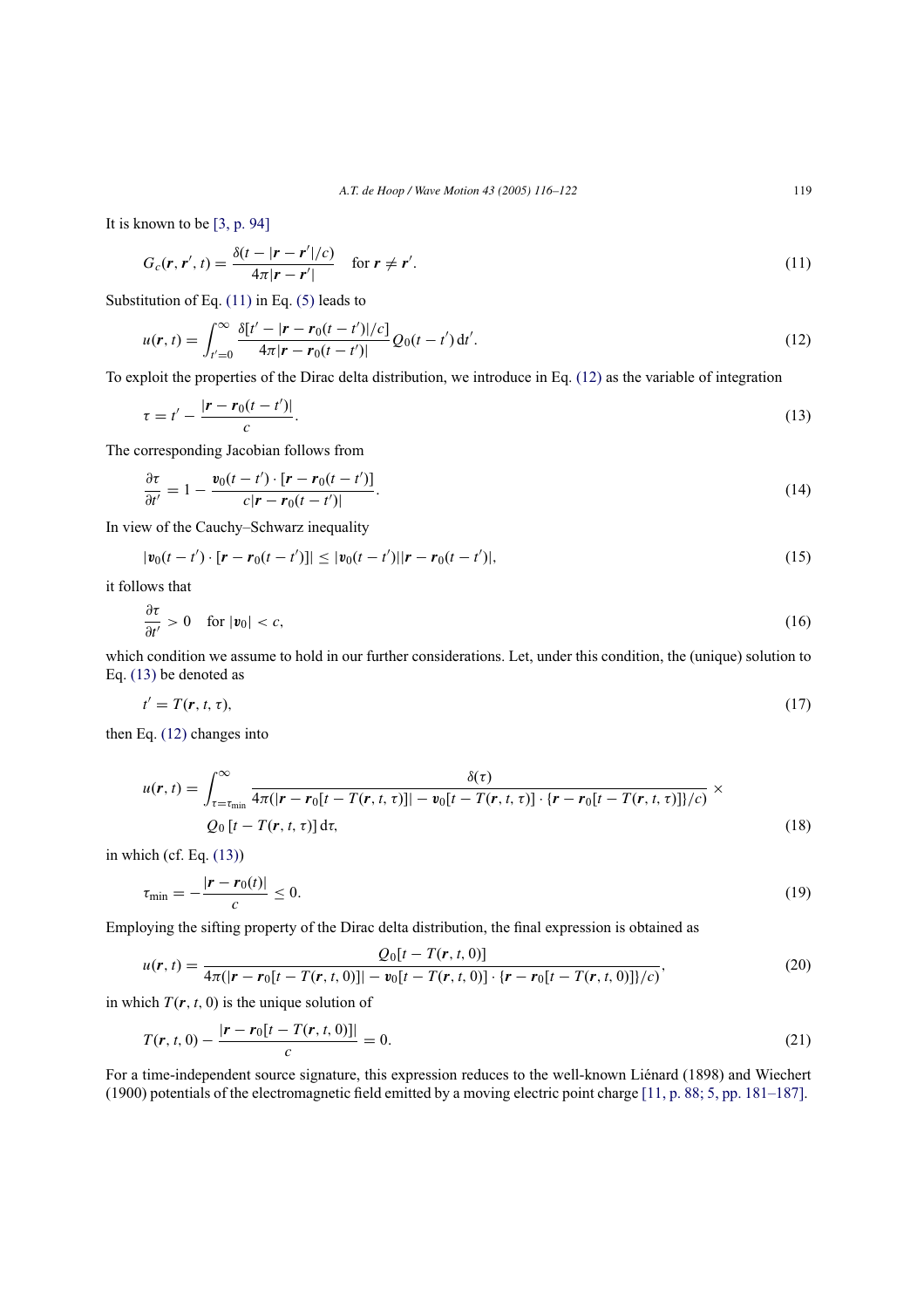It is known to be [3, p. 94]

$$
G_c(\mathbf{r}, \mathbf{r}', t) = \frac{\delta(t - |\mathbf{r} - \mathbf{r}'|/c)}{4\pi |\mathbf{r} - \mathbf{r}'|} \quad \text{for } \mathbf{r} \neq \mathbf{r}'.\tag{11}
$$

Substitution of Eq. (11) in Eq. (5) leads to

$$
u(\mathbf{r},t) = \int_{t'=0}^{\infty} \frac{\delta[t'-|\mathbf{r}-\mathbf{r}_0(t-t')|/c]}{4\pi|\mathbf{r}-\mathbf{r}_0(t-t')|} Q_0(t-t') dt'.
$$
 (12)

To exploit the properties of the Dirac delta distribution, we introduce in Eq. (12) as the variable of integration

$$
\tau = t' - \frac{|\mathbf{r} - \mathbf{r}_0(t - t')|}{c}.
$$
\n(13)

The corresponding Jacobian follows from

$$
\frac{\partial \tau}{\partial t'} = 1 - \frac{\mathbf{v}_0(t - t') \cdot [\mathbf{r} - \mathbf{r}_0(t - t')]}{c |\mathbf{r} - \mathbf{r}_0(t - t')|}.
$$
\n(14)

In view of the Cauchy–Schwarz inequality

$$
|\mathbf{v}_0(t-t')\cdot[\mathbf{r}-\mathbf{r}_0(t-t')]| \leq |\mathbf{v}_0(t-t')||\mathbf{r}-\mathbf{r}_0(t-t')|,\tag{15}
$$

it follows that

$$
\frac{\partial \tau}{\partial t'} > 0 \quad \text{for } |\mathbf{v}_0| < c,\tag{16}
$$

which condition we assume to hold in our further considerations. Let, under this condition, the (unique) solution to Eq. (13) be denoted as

$$
t' = T(r, t, \tau),\tag{17}
$$

then Eq. (12) changes into

$$
u(\mathbf{r},t) = \int_{\tau=\tau_{\min}}^{\infty} \frac{\delta(\tau)}{4\pi(|\mathbf{r}-\mathbf{r}_0[t-T(\mathbf{r},t,\tau)]|-v_0[t-T(\mathbf{r},t,\tau)]\cdot\{\mathbf{r}-\mathbf{r}_0[t-T(\mathbf{r},t,\tau)]\}/c)} \times
$$
  
\n
$$
Q_0[t-T(\mathbf{r},t,\tau)]\,\mathrm{d}\tau,
$$
\n(18)

in which (cf. Eq. (13))

$$
\tau_{\min} = -\frac{|r - r_0(t)|}{c} \le 0. \tag{19}
$$

Employing the sifting property of the Dirac delta distribution, the final expression is obtained as

$$
u(\mathbf{r},t) = \frac{Q_0[t - T(\mathbf{r},t,0)]}{4\pi(|\mathbf{r} - \mathbf{r}_0[t - T(\mathbf{r},t,0)]| - v_0[t - T(\mathbf{r},t,0)] \cdot {\{\mathbf{r} - \mathbf{r}_0[t - T(\mathbf{r},t,0)]\}/c\}},
$$
(20)

in which  $T(r, t, 0)$  is the unique solution of

$$
T(r, t, 0) - \frac{|r - r_0[t - T(r, t, 0)]|}{c} = 0.
$$
\n(21)

For a time-independent source signature, this expression reduces to the well-known Liénard (1898) and Wiechert (1900) potentials of the electromagnetic field emitted by a moving electric point charge [11, p. 88; 5, pp. 181–187].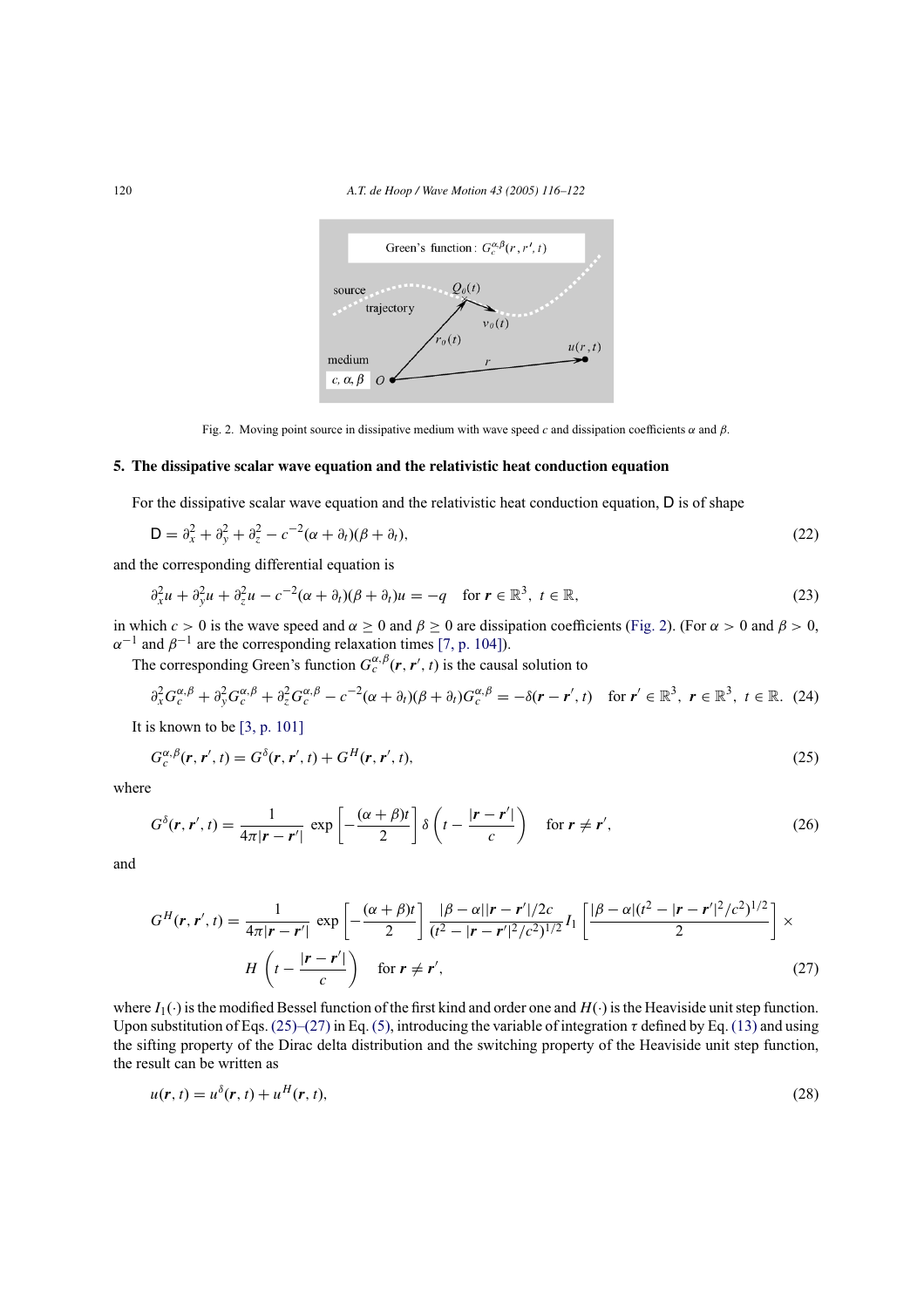

Fig. 2. Moving point source in dissipative medium with wave speed  $c$  and dissipation coefficients  $\alpha$  and  $\beta$ .

## **5. The dissipative scalar wave equation and the relativistic heat conduction equation**

For the dissipative scalar wave equation and the relativistic heat conduction equation, D is of shape

$$
\mathsf{D} = \partial_x^2 + \partial_y^2 + \partial_z^2 - c^{-2}(\alpha + \partial_t)(\beta + \partial_t),\tag{22}
$$

and the corresponding differential equation is

$$
\partial_x^2 u + \partial_y^2 u + \partial_z^2 u - c^{-2} (\alpha + \partial_t) (\beta + \partial_t) u = -q \quad \text{for } r \in \mathbb{R}^3, \ t \in \mathbb{R},
$$
\n(23)

in which  $c > 0$  is the wave speed and  $\alpha \ge 0$  and  $\beta \ge 0$  are dissipation coefficients (Fig. 2). (For  $\alpha > 0$  and  $\beta > 0$ ,  $\alpha^{-1}$  and  $\beta^{-1}$  are the corresponding relaxation times [7, p. 104]).

The corresponding Green's function  $G_c^{\alpha,\beta}(\mathbf{r}, \mathbf{r}', t)$  is the causal solution to

$$
\partial_x^2 G_c^{\alpha,\beta} + \partial_y^2 G_c^{\alpha,\beta} + \partial_z^2 G_c^{\alpha,\beta} - c^{-2} (\alpha + \partial_t) (\beta + \partial_t) G_c^{\alpha,\beta} = -\delta(\mathbf{r} - \mathbf{r}',t) \quad \text{for } \mathbf{r}' \in \mathbb{R}^3, \ \mathbf{r} \in \mathbb{R}^3, \ t \in \mathbb{R}. \tag{24}
$$

It is known to be [3, p. 101]

δ

$$
G_c^{\alpha,\beta}(\mathbf{r},\mathbf{r}',t) = G^{\delta}(\mathbf{r},\mathbf{r}',t) + G^H(\mathbf{r},\mathbf{r}',t),
$$
\n(25)

where

$$
G^{\delta}(\mathbf{r}, \mathbf{r}', t) = \frac{1}{4\pi |\mathbf{r} - \mathbf{r}'|} \exp\left[-\frac{(\alpha + \beta)t}{2}\right] \delta\left(t - \frac{|\mathbf{r} - \mathbf{r}'|}{c}\right) \quad \text{for } \mathbf{r} \neq \mathbf{r}',\tag{26}
$$

and

$$
G^{H}(\mathbf{r}, \mathbf{r}', t) = \frac{1}{4\pi |\mathbf{r} - \mathbf{r}'|} \exp\left[-\frac{(\alpha + \beta)t}{2}\right] \frac{|\beta - \alpha||\mathbf{r} - \mathbf{r}'|/2c}{(t^{2} - |\mathbf{r} - \mathbf{r}'|^{2}/c^{2})^{1/2}} I_{1} \left[\frac{|\beta - \alpha|(t^{2} - |\mathbf{r} - \mathbf{r}'|^{2}/c^{2})^{1/2}}{2}\right] \times H\left(t - \frac{|\mathbf{r} - \mathbf{r}'|}{c}\right) \quad \text{for } \mathbf{r} \neq \mathbf{r}',\tag{27}
$$

where  $I_1(\cdot)$  is the modified Bessel function of the first kind and order one and  $H(\cdot)$  is the Heaviside unit step function. Upon substitution of Eqs. (25)–(27) in Eq. (5), introducing the variable of integration  $\tau$  defined by Eq. (13) and using the sifting property of the Dirac delta distribution and the switching property of the Heaviside unit step function, the result can be written as

$$
u(\mathbf{r},t) = u^{\delta}(\mathbf{r},t) + u^H(\mathbf{r},t),
$$
\n(28)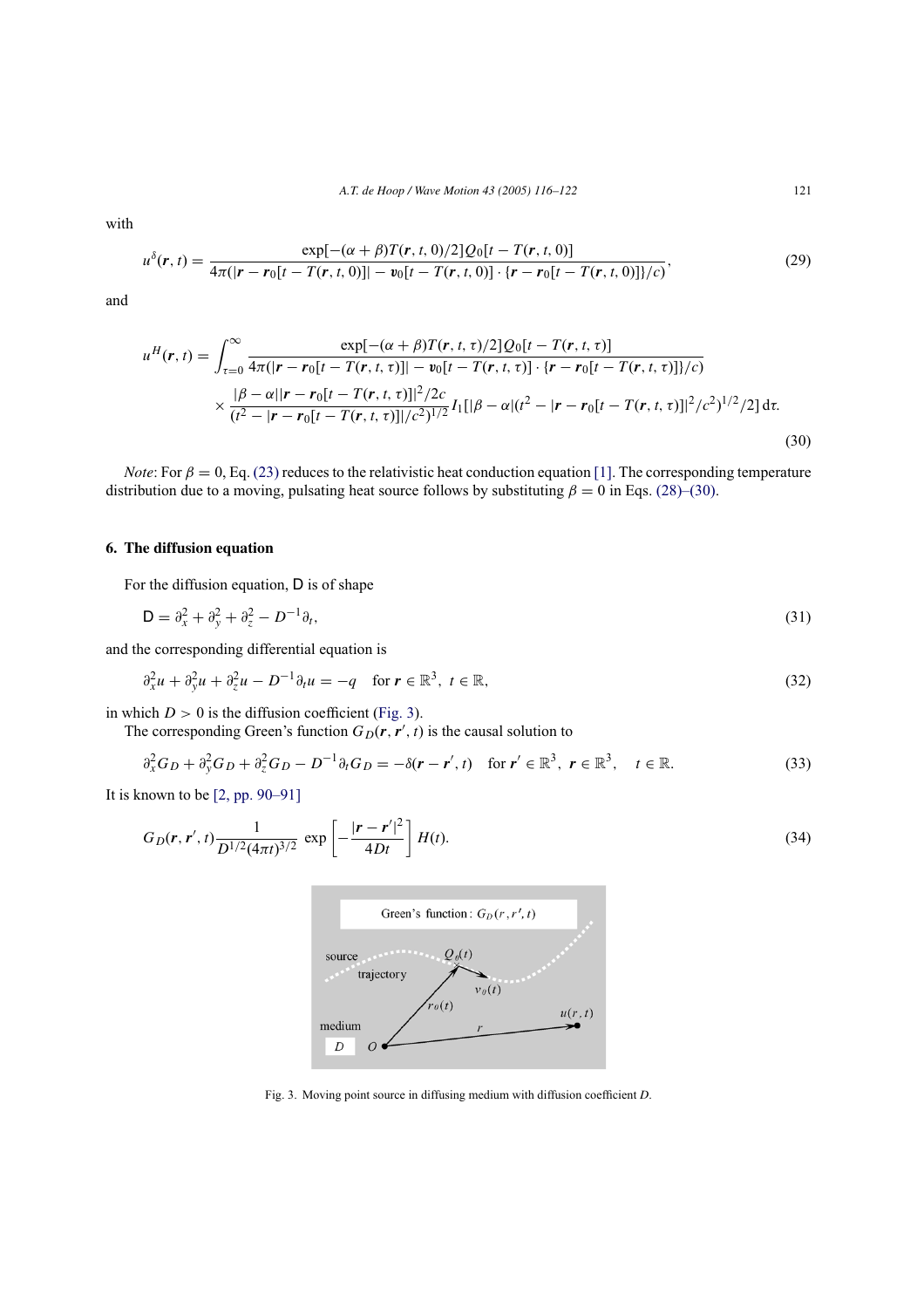*A.T. de Hoop / Wave Motion 43 (2005) 116–122* 121

with

$$
u^{\delta}(r,t) = \frac{\exp[-(\alpha + \beta)T(r,t,0)/2]Q_0[t - T(r,t,0)]}{4\pi(|r - r_0[t - T(r,t,0)]| - v_0[t - T(r,t,0)] \cdot \{r - r_0[t - T(r,t,0)]\}/c)},
$$
\n(29)

and

$$
u^{H}(\mathbf{r},t) = \int_{\tau=0}^{\infty} \frac{\exp[-(\alpha+\beta)T(\mathbf{r},t,\tau)/2]Q_{0}[t-T(\mathbf{r},t,\tau)]}{4\pi(|\mathbf{r}-\mathbf{r}_{0}[t-T(\mathbf{r},t,\tau)]|-\nu_{0}[t-T(\mathbf{r},t,\tau)]\cdot\{\mathbf{r}-\mathbf{r}_{0}[t-T(\mathbf{r},t,\tau)]\}/c\}}\times \frac{|\beta-\alpha||\mathbf{r}-\mathbf{r}_{0}[t-T(\mathbf{r},t,\tau)]|^{2}/2c}{(t^{2}-|\mathbf{r}-\mathbf{r}_{0}[t-T(\mathbf{r},t,\tau)]|/c^{2})^{1/2}}I_{1}[|\beta-\alpha|(t^{2}-|\mathbf{r}-\mathbf{r}_{0}[t-T(\mathbf{r},t,\tau)]|^{2}/c^{2})^{1/2}/2] d\tau.
$$
\n(30)

*Note*: For  $\beta = 0$ , Eq. (23) reduces to the relativistic heat conduction equation [1]. The corresponding temperature distribution due to a moving, pulsating heat source follows by substituting  $\beta = 0$  in Eqs. (28)–(30).

# **6. The diffusion equation**

For the diffusion equation, D is of shape

$$
\mathsf{D} = \partial_x^2 + \partial_y^2 + \partial_z^2 - D^{-1}\partial_t,\tag{31}
$$

and the corresponding differential equation is

$$
\partial_x^2 u + \partial_y^2 u + \partial_z^2 u - D^{-1} \partial_t u = -q \quad \text{for } r \in \mathbb{R}^3, \ t \in \mathbb{R},
$$
\n(32)

in which  $D > 0$  is the diffusion coefficient (Fig. 3).

The corresponding Green's function  $G_D(\mathbf{r}, \mathbf{r}', t)$  is the causal solution to

$$
\partial_x^2 G_D + \partial_y^2 G_D + \partial_z^2 G_D - D^{-1} \partial_t G_D = -\delta(\mathbf{r} - \mathbf{r}', t) \quad \text{for } \mathbf{r}' \in \mathbb{R}^3, \ \mathbf{r} \in \mathbb{R}^3, \quad t \in \mathbb{R}.
$$

It is known to be [2, pp. 90–91]

$$
G_D(r, r', t) \frac{1}{D^{1/2} (4\pi t)^{3/2}} \exp \left[ -\frac{|r - r'|^2}{4Dt} \right] H(t).
$$
\n(34)



Fig. 3. Moving point source in diffusing medium with diffusion coefficient *D*.